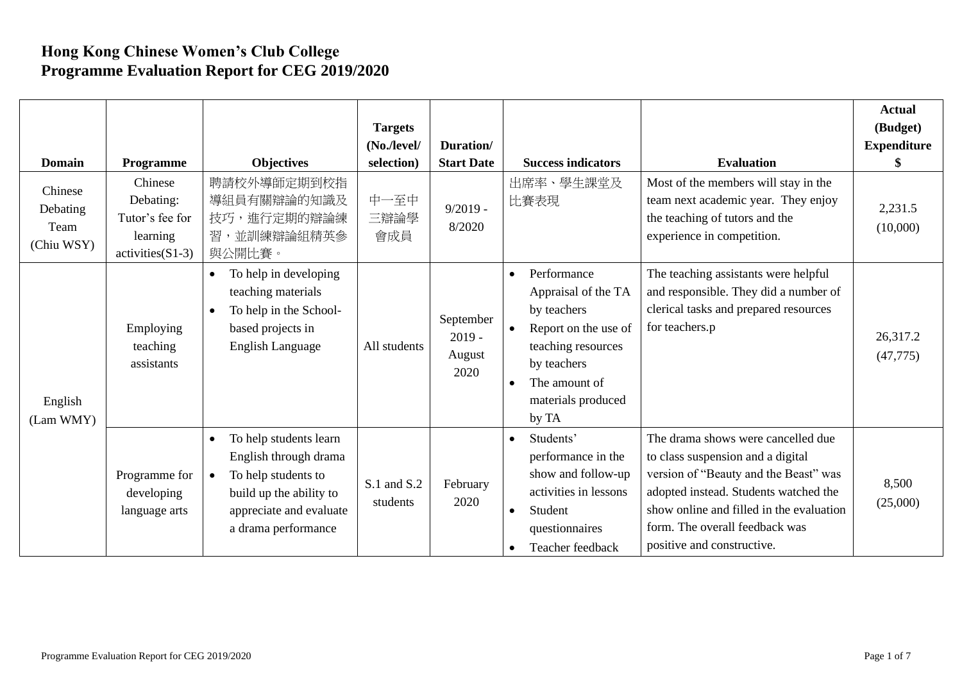## **Hong Kong Chinese Women's Club College Programme Evaluation Report for CEG 2019/2020**

| Domain                                    | Programme                                                                 | <b>Objectives</b>                                                                                                                                   | <b>Targets</b><br>(No./level/<br>selection) | Duration/<br><b>Start Date</b>          |                                     | <b>Success indicators</b>                                                                                                                                      | <b>Evaluation</b>                                                                                                                                                                                                                                                     | <b>Actual</b><br>(Budget)<br><b>Expenditure</b><br>S |
|-------------------------------------------|---------------------------------------------------------------------------|-----------------------------------------------------------------------------------------------------------------------------------------------------|---------------------------------------------|-----------------------------------------|-------------------------------------|----------------------------------------------------------------------------------------------------------------------------------------------------------------|-----------------------------------------------------------------------------------------------------------------------------------------------------------------------------------------------------------------------------------------------------------------------|------------------------------------------------------|
| Chinese<br>Debating<br>Team<br>(Chiu WSY) | Chinese<br>Debating:<br>Tutor's fee for<br>learning<br>$activities(S1-3)$ | 聘請校外導師定期到校指<br>導組員有關辯論的知識及<br>技巧,進行定期的辯論練<br>習,並訓練辯論組精英參<br>與公開比賽。                                                                                  | 中一至中<br>三辯論學<br>會成員                         | $9/2019 -$<br>8/2020                    |                                     | 出席率、學生課堂及<br>比賽表現                                                                                                                                              | Most of the members will stay in the<br>team next academic year. They enjoy<br>the teaching of tutors and the<br>experience in competition.                                                                                                                           | 2,231.5<br>(10,000)                                  |
| English<br>(Lam WMY)                      | Employing<br>teaching<br>assistants                                       | To help in developing<br>teaching materials<br>To help in the School-<br>$\bullet$<br>based projects in<br>English Language                         | All students                                | September<br>$2019 -$<br>August<br>2020 | $\bullet$<br>$\bullet$<br>$\bullet$ | Performance<br>Appraisal of the TA<br>by teachers<br>Report on the use of<br>teaching resources<br>by teachers<br>The amount of<br>materials produced<br>by TA | The teaching assistants were helpful<br>and responsible. They did a number of<br>clerical tasks and prepared resources<br>for teachers.p                                                                                                                              | 26,317.2<br>(47, 775)                                |
|                                           | Programme for<br>developing<br>language arts                              | To help students learn<br>English through drama<br>To help students to<br>build up the ability to<br>appreciate and evaluate<br>a drama performance | S.1 and S.2<br>students                     | February<br>2020                        | $\bullet$<br>$\bullet$              | Students'<br>performance in the<br>show and follow-up<br>activities in lessons<br>Student<br>questionnaires<br>Teacher feedback                                | The drama shows were cancelled due<br>to class suspension and a digital<br>version of "Beauty and the Beast" was<br>adopted instead. Students watched the<br>show online and filled in the evaluation<br>form. The overall feedback was<br>positive and constructive. | 8,500<br>(25,000)                                    |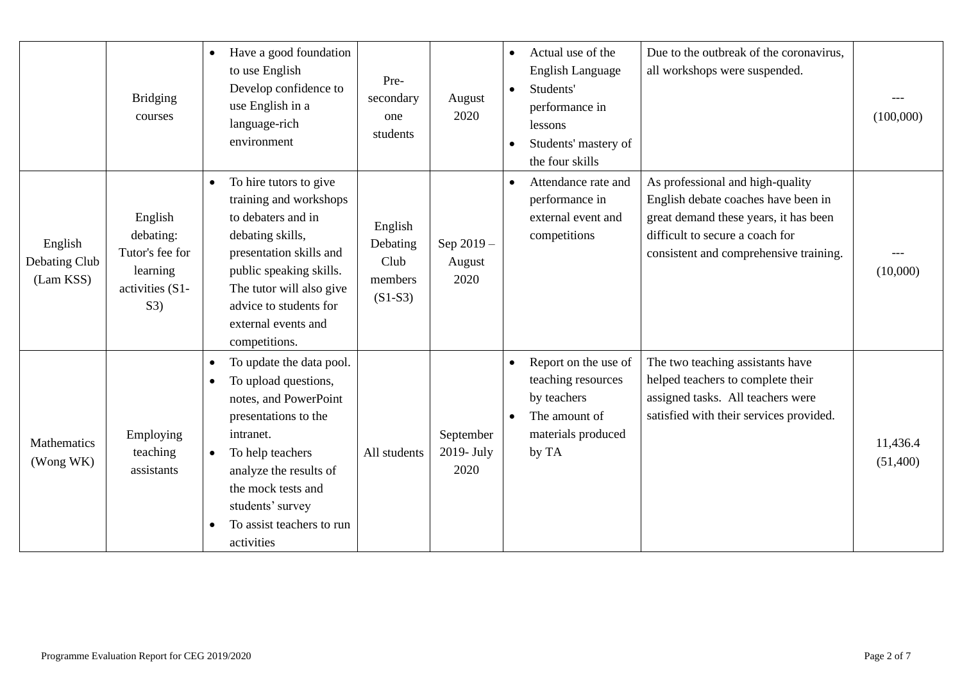|                                       | <b>Bridging</b><br>courses                                                    | Have a good foundation<br>to use English<br>Develop confidence to<br>use English in a<br>language-rich<br>environment                                                                                                                                          | Pre-<br>secondary<br>one<br>students                | August<br>2020                  | $\bullet$<br>$\bullet$ | Actual use of the<br><b>English Language</b><br>Students'<br>performance in<br>lessons<br>Students' mastery of<br>the four skills | Due to the outbreak of the coronavirus,<br>all workshops were suspended.                                                                                                                      | (100,000)            |
|---------------------------------------|-------------------------------------------------------------------------------|----------------------------------------------------------------------------------------------------------------------------------------------------------------------------------------------------------------------------------------------------------------|-----------------------------------------------------|---------------------------------|------------------------|-----------------------------------------------------------------------------------------------------------------------------------|-----------------------------------------------------------------------------------------------------------------------------------------------------------------------------------------------|----------------------|
| English<br>Debating Club<br>(Lam KSS) | English<br>debating:<br>Tutor's fee for<br>learning<br>activities (S1-<br>S3) | To hire tutors to give<br>training and workshops<br>to debaters and in<br>debating skills,<br>presentation skills and<br>public speaking skills.<br>The tutor will also give<br>advice to students for<br>external events and<br>competitions.                 | English<br>Debating<br>Club<br>members<br>$(S1-S3)$ | Sep 2019-<br>August<br>2020     | $\bullet$              | Attendance rate and<br>performance in<br>external event and<br>competitions                                                       | As professional and high-quality<br>English debate coaches have been in<br>great demand these years, it has been<br>difficult to secure a coach for<br>consistent and comprehensive training. | (10,000)             |
| Mathematics<br>(Wong WK)              | Employing<br>teaching<br>assistants                                           | To update the data pool.<br>To upload questions,<br>notes, and PowerPoint<br>presentations to the<br>intranet.<br>To help teachers<br>$\bullet$<br>analyze the results of<br>the mock tests and<br>students' survey<br>To assist teachers to run<br>activities | All students                                        | September<br>2019- July<br>2020 |                        | Report on the use of<br>teaching resources<br>by teachers<br>The amount of<br>materials produced<br>by TA                         | The two teaching assistants have<br>helped teachers to complete their<br>assigned tasks. All teachers were<br>satisfied with their services provided.                                         | 11,436.4<br>(51,400) |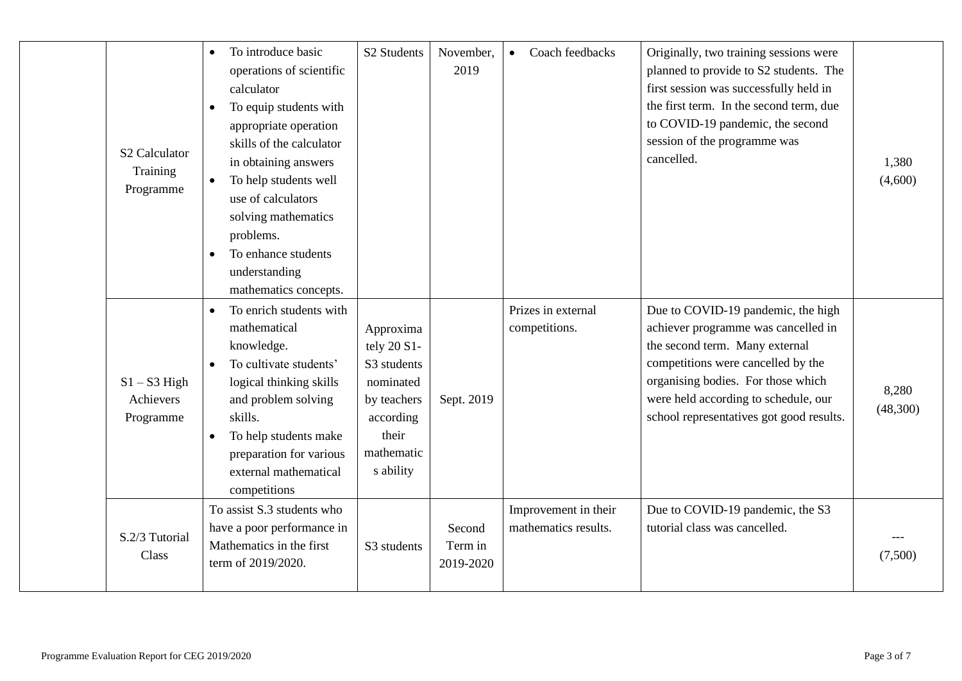| S <sub>2</sub> Calculator<br>Training<br>Programme | To introduce basic<br>$\bullet$<br>operations of scientific<br>calculator<br>To equip students with<br>$\bullet$<br>appropriate operation<br>skills of the calculator<br>in obtaining answers<br>To help students well<br>use of calculators<br>solving mathematics<br>problems.<br>To enhance students<br>understanding<br>mathematics concepts. | S <sub>2</sub> Students                                                                                              | November,<br>2019              | Coach feedbacks<br>$\bullet$                 | Originally, two training sessions were<br>planned to provide to S2 students. The<br>first session was successfully held in<br>the first term. In the second term, due<br>to COVID-19 pandemic, the second<br>session of the programme was<br>cancelled.                     | 1,380<br>(4,600)  |
|----------------------------------------------------|---------------------------------------------------------------------------------------------------------------------------------------------------------------------------------------------------------------------------------------------------------------------------------------------------------------------------------------------------|----------------------------------------------------------------------------------------------------------------------|--------------------------------|----------------------------------------------|-----------------------------------------------------------------------------------------------------------------------------------------------------------------------------------------------------------------------------------------------------------------------------|-------------------|
| $S1 - S3$ High<br>Achievers<br>Programme           | To enrich students with<br>$\bullet$<br>mathematical<br>knowledge.<br>To cultivate students'<br>logical thinking skills<br>and problem solving<br>skills.<br>To help students make<br>$\bullet$<br>preparation for various<br>external mathematical<br>competitions                                                                               | Approxima<br>tely 20 S1-<br>S3 students<br>nominated<br>by teachers<br>according<br>their<br>mathematic<br>s ability | Sept. 2019                     | Prizes in external<br>competitions.          | Due to COVID-19 pandemic, the high<br>achiever programme was cancelled in<br>the second term. Many external<br>competitions were cancelled by the<br>organising bodies. For those which<br>were held according to schedule, our<br>school representatives got good results. | 8,280<br>(48,300) |
| S.2/3 Tutorial<br>Class                            | To assist S.3 students who<br>have a poor performance in<br>Mathematics in the first<br>term of 2019/2020.                                                                                                                                                                                                                                        | S3 students                                                                                                          | Second<br>Term in<br>2019-2020 | Improvement in their<br>mathematics results. | Due to COVID-19 pandemic, the S3<br>tutorial class was cancelled.                                                                                                                                                                                                           | (7,500)           |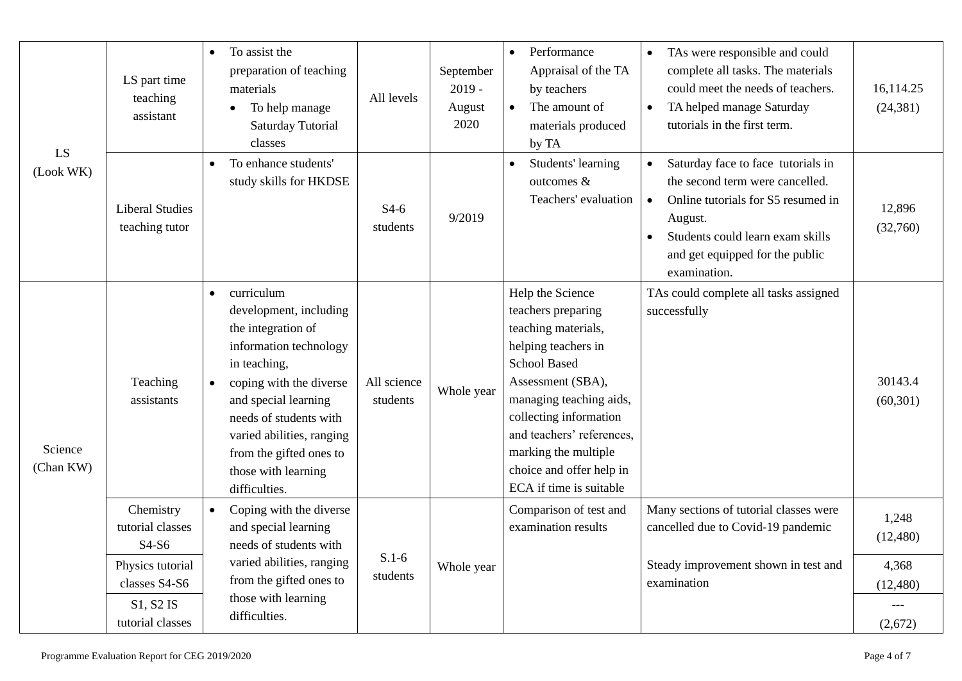| LS<br>(Look WK)      | LS part time<br>teaching<br>assistant    | To assist the<br>$\bullet$<br>preparation of teaching<br>materials<br>To help manage<br>$\bullet$<br>Saturday Tutorial<br>classes                                                                                                                                                              | All levels              | September<br>$2019 -$<br>August<br>2020 | Performance<br>$\bullet$<br>Appraisal of the TA<br>by teachers<br>The amount of<br>$\bullet$<br>materials produced<br>by TA                                                                                                                                                                       | TAs were responsible and could<br>$\bullet$<br>complete all tasks. The materials<br>could meet the needs of teachers.<br>TA helped manage Saturday<br>$\bullet$<br>tutorials in the first term.                            | 16,114.25<br>(24, 381) |
|----------------------|------------------------------------------|------------------------------------------------------------------------------------------------------------------------------------------------------------------------------------------------------------------------------------------------------------------------------------------------|-------------------------|-----------------------------------------|---------------------------------------------------------------------------------------------------------------------------------------------------------------------------------------------------------------------------------------------------------------------------------------------------|----------------------------------------------------------------------------------------------------------------------------------------------------------------------------------------------------------------------------|------------------------|
|                      | <b>Liberal Studies</b><br>teaching tutor | To enhance students'<br>$\bullet$<br>study skills for HKDSE                                                                                                                                                                                                                                    | $S4-6$<br>students      | 9/2019                                  | Students' learning<br>outcomes &<br>Teachers' evaluation                                                                                                                                                                                                                                          | Saturday face to face tutorials in<br>the second term were cancelled.<br>Online tutorials for S5 resumed in<br>$\bullet$<br>August.<br>Students could learn exam skills<br>and get equipped for the public<br>examination. | 12,896<br>(32,760)     |
| Science<br>(Chan KW) | Teaching<br>assistants                   | curriculum<br>$\bullet$<br>development, including<br>the integration of<br>information technology<br>in teaching,<br>coping with the diverse<br>and special learning<br>needs of students with<br>varied abilities, ranging<br>from the gifted ones to<br>those with learning<br>difficulties. | All science<br>students | Whole year                              | Help the Science<br>teachers preparing<br>teaching materials,<br>helping teachers in<br><b>School Based</b><br>Assessment (SBA),<br>managing teaching aids,<br>collecting information<br>and teachers' references,<br>marking the multiple<br>choice and offer help in<br>ECA if time is suitable | TAs could complete all tasks assigned<br>successfully                                                                                                                                                                      | 30143.4<br>(60, 301)   |
|                      | Chemistry<br>tutorial classes<br>S4-S6   | Coping with the diverse<br>$\bullet$<br>and special learning<br>needs of students with                                                                                                                                                                                                         |                         |                                         | Comparison of test and<br>examination results                                                                                                                                                                                                                                                     | Many sections of tutorial classes were<br>cancelled due to Covid-19 pandemic                                                                                                                                               | 1,248<br>(12,480)      |
|                      | Physics tutorial<br>classes S4-S6        | varied abilities, ranging<br>from the gifted ones to                                                                                                                                                                                                                                           | $S.1-6$<br>students     | Whole year                              |                                                                                                                                                                                                                                                                                                   | Steady improvement shown in test and<br>examination                                                                                                                                                                        | 4,368<br>(12, 480)     |
|                      | S1, S2 IS<br>tutorial classes            | those with learning<br>difficulties.                                                                                                                                                                                                                                                           |                         |                                         |                                                                                                                                                                                                                                                                                                   |                                                                                                                                                                                                                            | (2,672)                |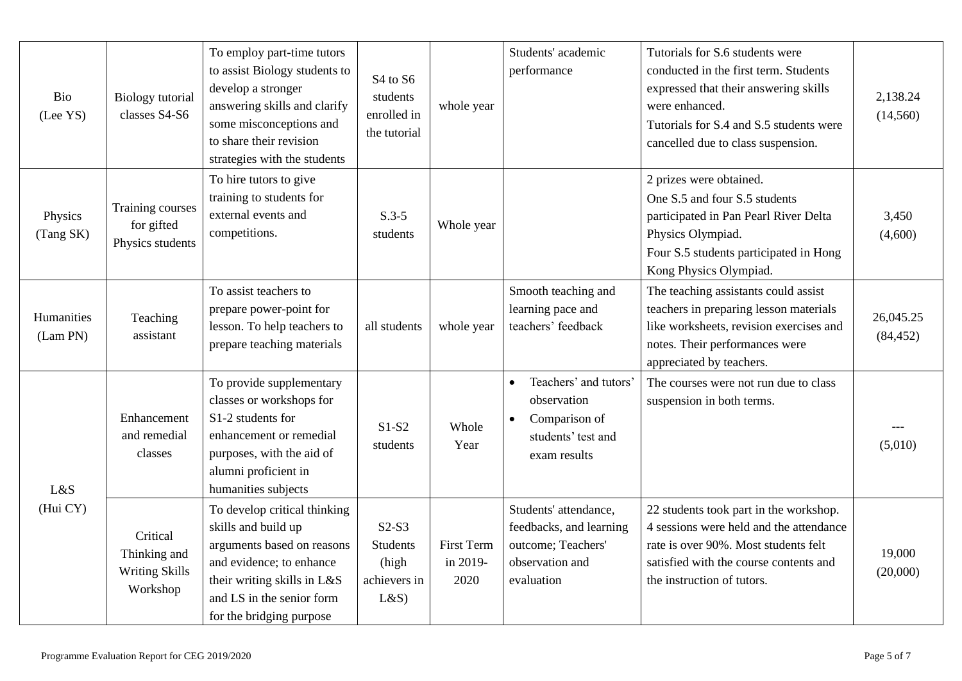| Bio<br>(Lee YS)        | <b>Biology</b> tutorial<br>classes S4-S6                      | To employ part-time tutors<br>to assist Biology students to<br>develop a stronger<br>answering skills and clarify<br>some misconceptions and<br>to share their revision<br>strategies with the students | S <sub>4</sub> to S <sub>6</sub><br>students<br>enrolled in<br>the tutorial | whole year                            | Students' academic<br>performance                                                                                     | Tutorials for S.6 students were<br>conducted in the first term. Students<br>expressed that their answering skills<br>were enhanced.<br>Tutorials for S.4 and S.5 students were<br>cancelled due to class suspension. | 2,138.24<br>(14,560)   |
|------------------------|---------------------------------------------------------------|---------------------------------------------------------------------------------------------------------------------------------------------------------------------------------------------------------|-----------------------------------------------------------------------------|---------------------------------------|-----------------------------------------------------------------------------------------------------------------------|----------------------------------------------------------------------------------------------------------------------------------------------------------------------------------------------------------------------|------------------------|
| Physics<br>(Tang SK)   | Training courses<br>for gifted<br>Physics students            | To hire tutors to give<br>training to students for<br>external events and<br>competitions.                                                                                                              | $S.3-5$<br>students                                                         | Whole year                            |                                                                                                                       | 2 prizes were obtained.<br>One S.5 and four S.5 students<br>participated in Pan Pearl River Delta<br>Physics Olympiad.<br>Four S.5 students participated in Hong<br>Kong Physics Olympiad.                           | 3,450<br>(4,600)       |
| Humanities<br>(Lam PN) | Teaching<br>assistant                                         | To assist teachers to<br>prepare power-point for<br>lesson. To help teachers to<br>prepare teaching materials                                                                                           | all students                                                                | whole year                            | Smooth teaching and<br>learning pace and<br>teachers' feedback                                                        | The teaching assistants could assist<br>teachers in preparing lesson materials<br>like worksheets, revision exercises and<br>notes. Their performances were<br>appreciated by teachers.                              | 26,045.25<br>(84, 452) |
| L&S                    | Enhancement<br>and remedial<br>classes                        | To provide supplementary<br>classes or workshops for<br>S1-2 students for<br>enhancement or remedial<br>purposes, with the aid of<br>alumni proficient in<br>humanities subjects                        | $S1-S2$<br>students                                                         | Whole<br>Year                         | Teachers' and tutors'<br>$\bullet$<br>observation<br>Comparison of<br>$\bullet$<br>students' test and<br>exam results | The courses were not run due to class<br>suspension in both terms.                                                                                                                                                   | (5,010)                |
| (Hui CY)               | Critical<br>Thinking and<br><b>Writing Skills</b><br>Workshop | To develop critical thinking<br>skills and build up<br>arguments based on reasons<br>and evidence; to enhance<br>their writing skills in L&S<br>and LS in the senior form<br>for the bridging purpose   | $S2-S3$<br><b>Students</b><br>(high<br>achievers in<br>L&S                  | <b>First Term</b><br>in 2019-<br>2020 | Students' attendance,<br>feedbacks, and learning<br>outcome; Teachers'<br>observation and<br>evaluation               | 22 students took part in the workshop.<br>4 sessions were held and the attendance<br>rate is over 90%. Most students felt<br>satisfied with the course contents and<br>the instruction of tutors.                    | 19,000<br>(20,000)     |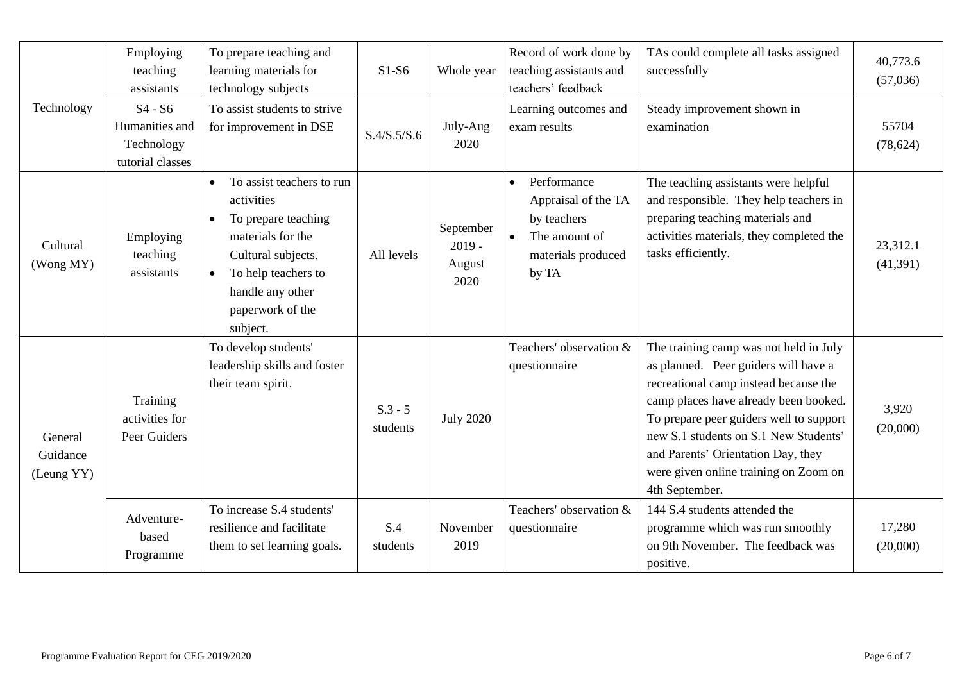|                                   | Employing<br>teaching<br>assistants                           | To prepare teaching and<br>learning materials for<br>technology subjects                                                                                                                                                    | $S1-S6$               | Whole year                              | Record of work done by<br>teaching assistants and<br>teachers' feedback                                                     | TAs could complete all tasks assigned<br>successfully                                                                                                                                                                                                                                                                                                 | 40,773.6<br>(57,036) |
|-----------------------------------|---------------------------------------------------------------|-----------------------------------------------------------------------------------------------------------------------------------------------------------------------------------------------------------------------------|-----------------------|-----------------------------------------|-----------------------------------------------------------------------------------------------------------------------------|-------------------------------------------------------------------------------------------------------------------------------------------------------------------------------------------------------------------------------------------------------------------------------------------------------------------------------------------------------|----------------------|
| Technology                        | $S4 - S6$<br>Humanities and<br>Technology<br>tutorial classes | To assist students to strive<br>for improvement in DSE                                                                                                                                                                      | S.4/S.5/S.6           | July-Aug<br>2020                        | Learning outcomes and<br>exam results                                                                                       | Steady improvement shown in<br>examination                                                                                                                                                                                                                                                                                                            | 55704<br>(78, 624)   |
| Cultural<br>(Wong MY)             | Employing<br>teaching<br>assistants                           | To assist teachers to run<br>$\bullet$<br>activities<br>To prepare teaching<br>$\bullet$<br>materials for the<br>Cultural subjects.<br>To help teachers to<br>$\bullet$<br>handle any other<br>paperwork of the<br>subject. | All levels            | September<br>$2019 -$<br>August<br>2020 | Performance<br>$\bullet$<br>Appraisal of the TA<br>by teachers<br>The amount of<br>$\bullet$<br>materials produced<br>by TA | The teaching assistants were helpful<br>and responsible. They help teachers in<br>preparing teaching materials and<br>activities materials, they completed the<br>tasks efficiently.                                                                                                                                                                  | 23,312.1<br>(41,391) |
| General<br>Guidance<br>(Leung YY) | Training<br>activities for<br>Peer Guiders                    | To develop students'<br>leadership skills and foster<br>their team spirit.                                                                                                                                                  | $S.3 - 5$<br>students | <b>July 2020</b>                        | Teachers' observation &<br>questionnaire                                                                                    | The training camp was not held in July<br>as planned. Peer guiders will have a<br>recreational camp instead because the<br>camp places have already been booked.<br>To prepare peer guiders well to support<br>new S.1 students on S.1 New Students'<br>and Parents' Orientation Day, they<br>were given online training on Zoom on<br>4th September. | 3,920<br>(20,000)    |
|                                   | Adventure-<br>based<br>Programme                              | To increase S.4 students'<br>resilience and facilitate<br>them to set learning goals.                                                                                                                                       | S.4<br>students       | November<br>2019                        | Teachers' observation &<br>questionnaire                                                                                    | 144 S.4 students attended the<br>programme which was run smoothly<br>on 9th November. The feedback was<br>positive.                                                                                                                                                                                                                                   | 17,280<br>(20,000)   |